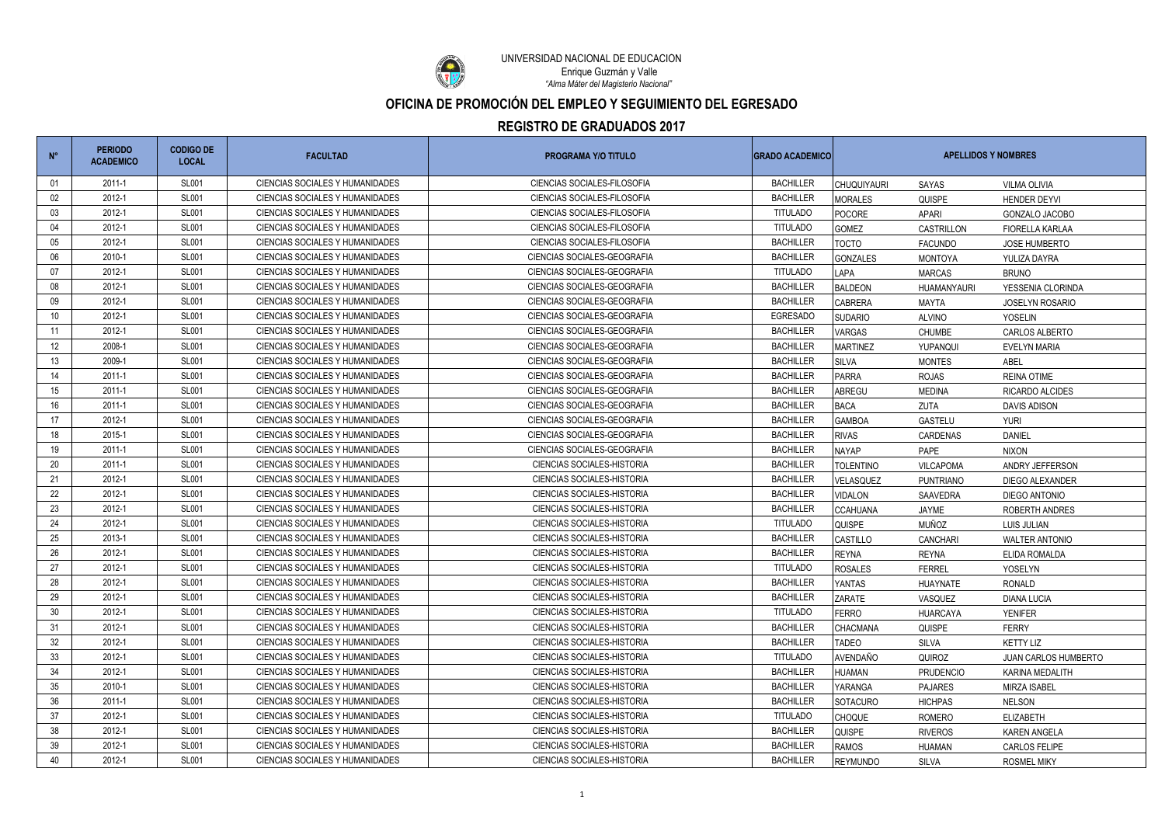| $N^{\circ}$     | <b>PERIODO</b><br><b>ACADEMICO</b> | <b>CODIGO DE</b><br><b>LOCAL</b> | <b>FACULTAD</b>                 | <b>PROGRAMA Y/O TITULO</b>         | <b>GRADO ACADEMICO</b> | <b>APELLIDOS Y NOMBRES</b> |                  |                        |
|-----------------|------------------------------------|----------------------------------|---------------------------------|------------------------------------|------------------------|----------------------------|------------------|------------------------|
| -01             | 2011-1                             | <b>SL001</b>                     | CIENCIAS SOCIALES Y HUMANIDADES | CIENCIAS SOCIALES-FILOSOFIA        | <b>BACHILLER</b>       | <b>CHUQUIYAURI</b>         | SAYAS            | <b>VILMA OLIVIA</b>    |
| 02              | 2012-1                             | <b>SL001</b>                     | CIENCIAS SOCIALES Y HUMANIDADES | <b>CIENCIAS SOCIALES-FILOSOFIA</b> | <b>BACHILLER</b>       | <b>MORALES</b>             | QUISPE           | <b>HENDER DEYVI</b>    |
| 03              | 2012-1                             | <b>SL001</b>                     | CIENCIAS SOCIALES Y HUMANIDADES | CIENCIAS SOCIALES-FILOSOFIA        | <b>TITULADO</b>        | POCORE                     | APARI            | GONZALO JACOBO         |
| 04              | 2012-1                             | <b>SL001</b>                     | CIENCIAS SOCIALES Y HUMANIDADES | CIENCIAS SOCIALES-FILOSOFIA        | <b>TITULADO</b>        | <b>GOMEZ</b>               | CASTRILLON       | FIORELLA KARLAA        |
| 05              | 2012-1                             | <b>SL001</b>                     | CIENCIAS SOCIALES Y HUMANIDADES | CIENCIAS SOCIALES-FILOSOFIA        | <b>BACHILLER</b>       | <b>TOCTO</b>               | <b>FACUNDO</b>   | <b>JOSE HUMBERTO</b>   |
| 06              | 2010-1                             | <b>SL001</b>                     | CIENCIAS SOCIALES Y HUMANIDADES | CIENCIAS SOCIALES-GEOGRAFIA        | <b>BACHILLER</b>       | <b>GONZALES</b>            | <b>MONTOYA</b>   | YULIZA DAYRA           |
| 07              | 2012-1                             | <b>SL001</b>                     | CIENCIAS SOCIALES Y HUMANIDADES | CIENCIAS SOCIALES-GEOGRAFIA        | <b>TITULADO</b>        | LAPA                       | <b>MARCAS</b>    | <b>BRUNO</b>           |
| 08              | 2012-1                             | <b>SL001</b>                     | CIENCIAS SOCIALES Y HUMANIDADES | CIENCIAS SOCIALES-GEOGRAFIA        | <b>BACHILLER</b>       | <b>BALDEON</b>             | HUAMANYAURI      | YESSENIA CLORINDA      |
| 09              | 2012-1                             | <b>SL001</b>                     | CIENCIAS SOCIALES Y HUMANIDADES | CIENCIAS SOCIALES-GEOGRAFIA        | <b>BACHILLER</b>       | <b>CABRERA</b>             | MAYTA            | <b>JOSELYN ROSARIO</b> |
| 10              | 2012-1                             | <b>SL001</b>                     | CIENCIAS SOCIALES Y HUMANIDADES | <b>CIENCIAS SOCIALES-GEOGRAFIA</b> | <b>EGRESADO</b>        | <b>SUDARIO</b>             | <b>ALVINO</b>    | <b>YOSELIN</b>         |
| 11              | 2012-1                             | <b>SL001</b>                     | CIENCIAS SOCIALES Y HUMANIDADES | CIFNCIAS SOCIAL FS-GFOGRAFIA       | <b>BACHILLER</b>       | <b>VARGAS</b>              | <b>CHUMBE</b>    | CARLOS ALBERTO         |
| 12 <sup>°</sup> | 2008-1                             | <b>SL001</b>                     | CIENCIAS SOCIALES Y HUMANIDADES | <b>CIENCIAS SOCIALES-GEOGRAFIA</b> | <b>BACHILLER</b>       | <b>MARTINEZ</b>            | YUPANQUI         | <b>EVELYN MARIA</b>    |
| 13              | 2009-1                             | <b>SL001</b>                     | CIENCIAS SOCIALES Y HUMANIDADES | <b>CIENCIAS SOCIALES-GEOGRAFIA</b> | <b>BACHILLER</b>       | <b>SILVA</b>               | <b>MONTES</b>    | ABEL                   |
| 14              | 2011-1                             | <b>SL001</b>                     | CIENCIAS SOCIALES Y HUMANIDADES | CIENCIAS SOCIALES-GEOGRAFIA        | <b>BACHILLER</b>       | <b>PARRA</b>               | <b>ROJAS</b>     | <b>REINA OTIME</b>     |
| 15              | 2011-1                             | <b>SL001</b>                     | CIENCIAS SOCIALES Y HUMANIDADES | CIENCIAS SOCIALES-GEOGRAFIA        | <b>BACHILLER</b>       | <b>ABREGU</b>              | <b>MEDINA</b>    | RICARDO ALCIDES        |
| 16              | 2011-1                             | <b>SL001</b>                     | CIENCIAS SOCIALES Y HUMANIDADES | CIENCIAS SOCIALES-GEOGRAFIA        | <b>BACHILLER</b>       | <b>BACA</b>                | ZUTA             | <b>DAVIS ADISON</b>    |
| 17              | 2012-1                             | <b>SL001</b>                     | CIENCIAS SOCIALES Y HUMANIDADES | CIENCIAS SOCIALES-GEOGRAFIA        | <b>BACHILLER</b>       | <b>GAMBOA</b>              | <b>GASTELU</b>   | <b>YURI</b>            |
| 18              | 2015-1                             | <b>SL001</b>                     | CIENCIAS SOCIALES Y HUMANIDADES | CIENCIAS SOCIALES-GEOGRAFIA        | <b>BACHILLER</b>       | <b>RIVAS</b>               | CARDENAS         | <b>DANIEL</b>          |
| 19              | 2011-1                             | <b>SL001</b>                     | CIENCIAS SOCIALES Y HUMANIDADES | CIENCIAS SOCIALES-GEOGRAFIA        | <b>BACHILLER</b>       | <b>NAYAP</b>               | PAPE             | <b>NIXON</b>           |
| 20              | 2011-1                             | <b>SL001</b>                     | CIENCIAS SOCIALES Y HUMANIDADES | <b>CIENCIAS SOCIALES-HISTORIA</b>  | <b>BACHILLER</b>       | <b>TOLENTINO</b>           | VILCAPOMA        | ANDRY JEFFERSON        |
| 21              | 2012-1                             | <b>SL001</b>                     | CIENCIAS SOCIALES Y HUMANIDADES | <b>CIENCIAS SOCIALES-HISTORIA</b>  | <b>BACHILLER</b>       | VELASQUEZ                  | <b>PUNTRIANO</b> | DIEGO ALEXANDER        |
| 22              | 2012-1                             | <b>SL001</b>                     | CIENCIAS SOCIALES Y HUMANIDADES | <b>CIENCIAS SOCIALES-HISTORIA</b>  | <b>BACHILLER</b>       | <b>VIDALON</b>             | SAAVEDRA         | DIEGO ANTONIO          |
| 23              | 2012-1                             | <b>SL001</b>                     | CIENCIAS SOCIALES Y HUMANIDADES | <b>CIENCIAS SOCIALES-HISTORIA</b>  | <b>BACHILLER</b>       | <b>CCAHUANA</b>            | JAYME            | ROBERTH ANDRES         |
| 24              | 2012-1                             | <b>SL001</b>                     | CIENCIAS SOCIALES Y HUMANIDADES | <b>CIENCIAS SOCIALES-HISTORIA</b>  | <b>TITULADO</b>        | <b>QUISPE</b>              | <b>MUÑOZ</b>     | LUIS JULIAN            |
| 25              | 2013-1                             | <b>SL001</b>                     | CIENCIAS SOCIALES Y HUMANIDADES | <b>CIENCIAS SOCIALES-HISTORIA</b>  | <b>BACHILLER</b>       | CASTILLO                   | CANCHARI         | <b>WALTER ANTONIO</b>  |
| 26              | 2012-1                             | <b>SL001</b>                     | CIENCIAS SOCIALES Y HUMANIDADES | <b>CIENCIAS SOCIALES-HISTORIA</b>  | <b>BACHILLER</b>       | <b>REYNA</b>               | <b>REYNA</b>     | ELIDA ROMALDA          |
| 27              | 2012-1                             | <b>SL001</b>                     | CIFNCIAS SOCIALES Y HUMANIDADES | <b>CIENCIAS SOCIALES-HISTORIA</b>  | <b>TITULADO</b>        | <b>ROSALES</b>             | <b>FERREL</b>    | YOSELYN                |
| 28              | 2012-1                             | <b>SL001</b>                     | CIENCIAS SOCIALES Y HUMANIDADES | <b>CIENCIAS SOCIALES-HISTORIA</b>  | <b>BACHILLER</b>       | <b>YANTAS</b>              | <b>HUAYNATE</b>  | <b>RONALD</b>          |
| 29              | 2012-1                             | <b>SL001</b>                     | CIFNCIAS SOCIALES Y HUMANIDADES | <b>CIENCIAS SOCIALES-HISTORIA</b>  | <b>BACHILLER</b>       | <b>ZARATE</b>              | VASQUEZ          | <b>DIANA LUCIA</b>     |
| $30\,$          | 2012-1                             | <b>SL001</b>                     | CIENCIAS SOCIALES Y HUMANIDADES | <b>CIENCIAS SOCIALES-HISTORIA</b>  | <b>TITULADO</b>        | <b>FERRO</b>               | <b>HUARCAYA</b>  | <b>YENIFER</b>         |
| 31              | 2012-1                             | <b>SL001</b>                     | CIENCIAS SOCIALES Y HUMANIDADES | <b>CIENCIAS SOCIALES-HISTORIA</b>  | <b>BACHILLER</b>       | <b>CHACMANA</b>            | QUISPE           | <b>FERRY</b>           |
| 32              | 2012-1                             | <b>SL001</b>                     | CIENCIAS SOCIALES Y HUMANIDADES | <b>CIENCIAS SOCIALES-HISTORIA</b>  | <b>BACHILLER</b>       | <b>TADEO</b>               | SILVA            | <b>KETTY LIZ</b>       |
| 33              | 2012-1                             | <b>SL001</b>                     | CIENCIAS SOCIALES Y HUMANIDADES | <b>CIENCIAS SOCIALES-HISTORIA</b>  | <b>TITULADO</b>        | AVENDAÑO                   | QUIROZ           | JUAN CARLOS HUMBERTO   |
| 34              | 2012-1                             | <b>SL001</b>                     | CIENCIAS SOCIALES Y HUMANIDADES | CIENCIAS SOCIALES-HISTORIA         | <b>BACHILLER</b>       | <b>HUAMAN</b>              | <b>PRUDENCIO</b> | KARINA MEDALITH        |
| 35              | 2010-1                             | <b>SL001</b>                     | CIENCIAS SOCIALES Y HUMANIDADES | <b>CIENCIAS SOCIALES-HISTORIA</b>  | <b>BACHILLER</b>       | YARANGA                    | <b>PAJARES</b>   | <b>MIRZA ISABEL</b>    |
| 36              | 2011-1                             | <b>SL001</b>                     | CIENCIAS SOCIALES Y HUMANIDADES | <b>CIENCIAS SOCIALES-HISTORIA</b>  | <b>BACHILLER</b>       | <b>SOTACURO</b>            | <b>HICHPAS</b>   | <b>NELSON</b>          |
| 37              | 2012-1                             | <b>SL001</b>                     | CIENCIAS SOCIALES Y HUMANIDADES | <b>CIENCIAS SOCIALES-HISTORIA</b>  | <b>TITULADO</b>        | <b>CHOQUE</b>              | ROMERO           | <b>ELIZABETH</b>       |
| 38              | 2012-1                             | <b>SL001</b>                     | CIENCIAS SOCIALES Y HUMANIDADES | CIENCIAS SOCIALES-HISTORIA         | <b>BACHILLER</b>       | <b>QUISPE</b>              | <b>RIVEROS</b>   | <b>KAREN ANGELA</b>    |
| 39              | 2012-1                             | <b>SL001</b>                     | CIENCIAS SOCIALES Y HUMANIDADES | <b>CIENCIAS SOCIALES-HISTORIA</b>  | <b>BACHILLER</b>       | <b>RAMOS</b>               | HUAMAN           | CARLOS FELIPE          |
| 40              | 2012-1                             | <b>SL001</b>                     | CIENCIAS SOCIALES Y HUMANIDADES | <b>CIENCIAS SOCIALES-HISTORIA</b>  | <b>BACHILLER</b>       | <b>REYMUNDO</b>            | SILVA            | <b>ROSMEL MIKY</b>     |



UNIVERSIDAD NACIONAL DE EDUCACIÓN *"Alma Máter del Magisterio Nacional"* Enrique Guzmán y Valle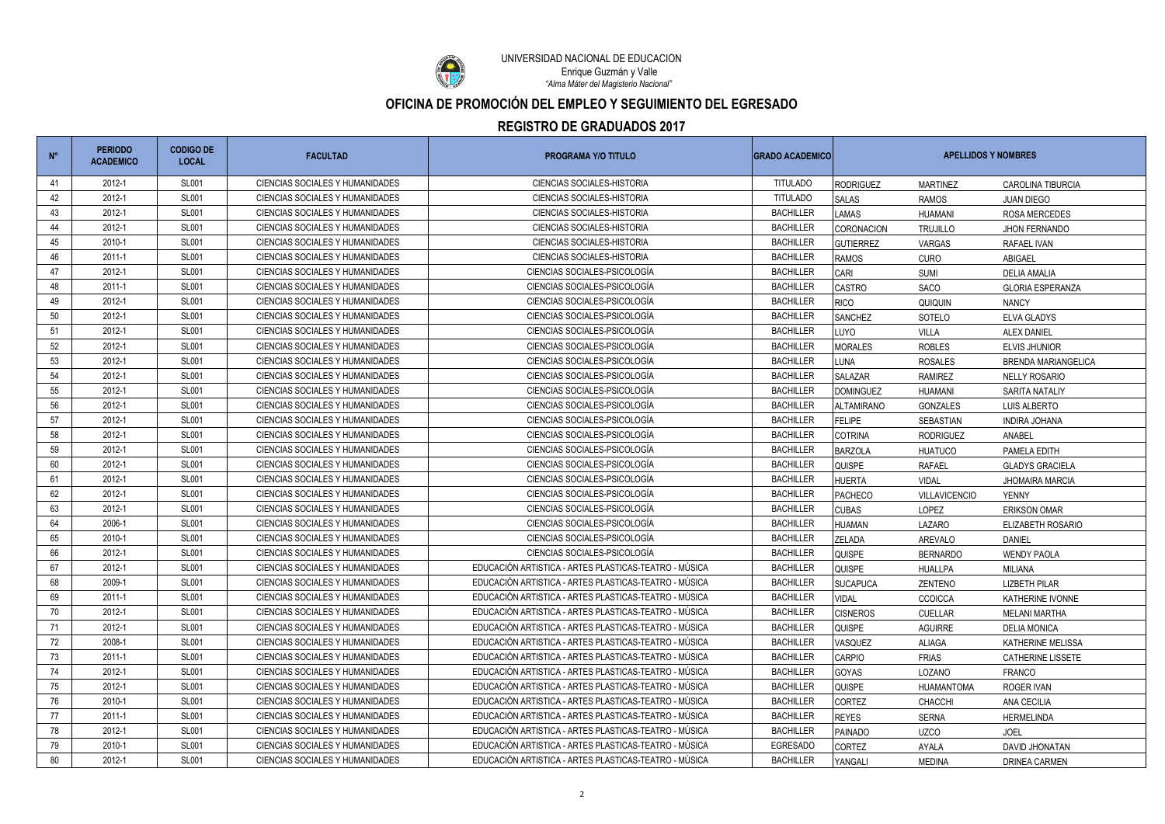

UNIVERSIDAD NACIONAL DE EDUCACIÓN *"Alma Máter del Magisterio Nacional"* Enrique Guzmán y Valle

| $N^{\circ}$ | <b>PERIODO</b><br><b>ACADEMICO</b> | <b>CODIGO DE</b><br><b>LOCAL</b> | <b>FACULTAD</b>                        | <b>PROGRAMA Y/O TITULO</b>                            | <b>GRADO ACADEMICO</b> | <b>APELLIDOS Y NOMBRES</b> |                   |                            |
|-------------|------------------------------------|----------------------------------|----------------------------------------|-------------------------------------------------------|------------------------|----------------------------|-------------------|----------------------------|
| -41         | 2012-1                             | <b>SL001</b>                     | CIENCIAS SOCIALES Y HUMANIDADES        | <b>CIENCIAS SOCIALES-HISTORIA</b>                     | <b>TITULADO</b>        | <b>RODRIGUEZ</b>           | <b>MARTINEZ</b>   | <b>CAROLINA TIBURCIA</b>   |
| 42          | 2012-1                             | <b>SL001</b>                     | CIENCIAS SOCIALES Y HUMANIDADES        | <b>CIENCIAS SOCIALES-HISTORIA</b>                     | <b>TITULADO</b>        | <b>SALAS</b>               | <b>RAMOS</b>      | <b>JUAN DIEGO</b>          |
| 43          | 2012-1                             | <b>SL001</b>                     | CIENCIAS SOCIALES Y HUMANIDADES        | <b>CIENCIAS SOCIALES-HISTORIA</b>                     | <b>BACHILLER</b>       | <b>LAMAS</b>               | HUAMANI           | ROSA MERCEDES              |
| 44          | 2012-1                             | <b>SL001</b>                     | CIENCIAS SOCIALES Y HUMANIDADES        | <b>CIENCIAS SOCIALES-HISTORIA</b>                     | <b>BACHILLER</b>       | <b>CORONACION</b>          | <b>TRUJILLO</b>   | <b>JHON FERNANDO</b>       |
| 45          | 2010-1                             | <b>SL001</b>                     | CIENCIAS SOCIALES Y HUMANIDADES        | <b>CIENCIAS SOCIALES-HISTORIA</b>                     | <b>BACHILLER</b>       | <b>GUTIERREZ</b>           | VARGAS            | RAFAEL IVAN                |
| 46          | 2011-1                             | <b>SL001</b>                     | CIENCIAS SOCIALES Y HUMANIDADES        | <b>CIENCIAS SOCIALES-HISTORIA</b>                     | <b>BACHILLER</b>       | <b>RAMOS</b>               | <b>CURO</b>       | ABIGAEL                    |
| 47          | 2012-1                             | <b>SL001</b>                     | CIENCIAS SOCIALES Y HUMANIDADES        | CIENCIAS SOCIALES-PSICOLOGÍA                          | <b>BACHILLER</b>       | <b>CARI</b>                | SUMI              | <b>DELIA AMALIA</b>        |
| 48          | 2011-1                             | <b>SL001</b>                     | CIENCIAS SOCIALES Y HUMANIDADES        | CIENCIAS SOCIALES-PSICOLOGÍA                          | <b>BACHILLER</b>       | <b>CASTRO</b>              | <b>SACO</b>       | <b>GLORIA ESPERANZA</b>    |
| 49          | 2012-1                             | <b>SL001</b>                     | CIENCIAS SOCIALES Y HUMANIDADES        | CIENCIAS SOCIALES-PSICOLOGÍA                          | <b>BACHILLER</b>       | <b>RICO</b>                | QUIQUIN           | <b>NANCY</b>               |
| 50          | 2012-1                             | <b>SL001</b>                     | CIENCIAS SOCIALES Y HUMANIDADES        | CIENCIAS SOCIALES-PSICOLOGÍA                          | <b>BACHILLER</b>       | <b>SANCHEZ</b>             | SOTELO            | ELVA GLADYS                |
| 51          | 2012-1                             | <b>SL001</b>                     | <b>CIENCIAS SOCIALES Y HUMANIDADES</b> | CIENCIAS SOCIALES-PSICOLOGÍA                          | <b>BACHILLER</b>       | LUYO                       | <b>VILLA</b>      | <b>ALEX DANIEL</b>         |
| 52          | 2012-1                             | <b>SL001</b>                     | CIENCIAS SOCIALES Y HUMANIDADES        | CIENCIAS SOCIALES-PSICOLOGÍA                          | <b>BACHILLER</b>       | <b>MORALES</b>             | <b>ROBLES</b>     | <b>ELVIS JHUNIOR</b>       |
| 53          | 2012-1                             | <b>SL001</b>                     | CIENCIAS SOCIALES Y HUMANIDADES        | CIENCIAS SOCIALES-PSICOLOGÍA                          | <b>BACHILLER</b>       | LUNA                       | <b>ROSALES</b>    | <b>BRENDA MARIANGELICA</b> |
| 54          | 2012-1                             | <b>SL001</b>                     | CIENCIAS SOCIALES Y HUMANIDADES        | CIENCIAS SOCIALES-PSICOLOGÍA                          | <b>BACHILLER</b>       | SALAZAR                    | <b>RAMIREZ</b>    | <b>NELLY ROSARIO</b>       |
| 55          | 2012-1                             | <b>SL001</b>                     | CIENCIAS SOCIALES Y HUMANIDADES        | CIENCIAS SOCIALES-PSICOLOGÍA                          | <b>BACHILLER</b>       | <b>DOMINGUEZ</b>           | HUAMANI           | SARITA NATALIY             |
| 56          | 2012-1                             | <b>SL001</b>                     | CIENCIAS SOCIALES Y HUMANIDADES        | CIENCIAS SOCIALES-PSICOLOGÍA                          | <b>BACHILLER</b>       | <b>ALTAMIRANO</b>          | <b>GONZALES</b>   | <b>LUIS ALBERTO</b>        |
| 57          | 2012-1                             | <b>SL001</b>                     | CIENCIAS SOCIALES Y HUMANIDADES        | CIENCIAS SOCIALES-PSICOLOGÍA                          | <b>BACHILLER</b>       | <b>FELIPE</b>              | <b>SEBASTIAN</b>  | <b>INDIRA JOHANA</b>       |
| 58          | 2012-1                             | <b>SL001</b>                     | CIENCIAS SOCIALES Y HUMANIDADES        | CIENCIAS SOCIALES-PSICOLOGÍA                          | <b>BACHILLER</b>       | <b>COTRINA</b>             | <b>RODRIGUEZ</b>  | ANABEL                     |
| 59          | 2012-1                             | <b>SL001</b>                     | CIENCIAS SOCIALES Y HUMANIDADES        | CIENCIAS SOCIALES-PSICOLOGÍA                          | <b>BACHILLER</b>       | <b>BARZOLA</b>             | <b>HUATUCO</b>    | PAMELA EDITH               |
| 60          | 2012-1                             | <b>SL001</b>                     | CIENCIAS SOCIALES Y HUMANIDADES        | CIENCIAS SOCIALES-PSICOLOGÍA                          | <b>BACHILLER</b>       | QUISPE                     | <b>RAFAEL</b>     | <b>GLADYS GRACIELA</b>     |
| 61          | 2012-1                             | <b>SL001</b>                     | CIENCIAS SOCIALES Y HUMANIDADES        | CIENCIAS SOCIALES-PSICOLOGÍA                          | <b>BACHILLER</b>       | <b>HUERTA</b>              | <b>VIDAL</b>      | <b>JHOMAIRA MARCIA</b>     |
| 62          | 2012-1                             | <b>SL001</b>                     | CIENCIAS SOCIALES Y HUMANIDADES        | CIENCIAS SOCIALES-PSICOLOGÍA                          | <b>BACHILLER</b>       | <b>PACHECO</b>             | VILLAVICENCIO     | <b>YENNY</b>               |
| 63          | 2012-1                             | <b>SL001</b>                     | CIENCIAS SOCIALES Y HUMANIDADES        | CIENCIAS SOCIALES-PSICOLOGÍA                          | <b>BACHILLER</b>       | <b>CUBAS</b>               | LOPEZ             | <b>ERIKSON OMAR</b>        |
| 64          | 2006-1                             | <b>SL001</b>                     | CIENCIAS SOCIALES Y HUMANIDADES        | CIENCIAS SOCIALES-PSICOLOGÍA                          | <b>BACHILLER</b>       | <b>HUAMAN</b>              | LAZARO            | ELIZABETH ROSARIO          |
| 65          | 2010-1                             | <b>SL001</b>                     | CIENCIAS SOCIALES Y HUMANIDADES        | CIENCIAS SOCIALES-PSICOLOGÍA                          | <b>BACHILLER</b>       | <b>ZELADA</b>              | AREVALO           | <b>DANIEL</b>              |
| 66          | 2012-1                             | <b>SL001</b>                     | CIENCIAS SOCIALES Y HUMANIDADES        | CIENCIAS SOCIALES-PSICOLOGÍA                          | <b>BACHILLER</b>       | <b>QUISPE</b>              | <b>BERNARDO</b>   | <b>WENDY PAOLA</b>         |
| 67          | 2012-1                             | <b>SL001</b>                     | CIENCIAS SOCIALES Y HUMANIDADES        | EDUCACIÓN ARTISTICA - ARTES PLASTICAS-TEATRO - MÚSICA | <b>BACHILLER</b>       | <b>QUISPE</b>              | HUALLPA           | MILIANA                    |
| 68          | 2009-1                             | <b>SL001</b>                     | CIENCIAS SOCIALES Y HUMANIDADES        | EDUCACIÓN ARTISTICA - ARTES PLASTICAS-TEATRO - MÚSICA | <b>BACHILLER</b>       | <b>SUCAPUCA</b>            | <b>ZENTENO</b>    | LIZBETH PILAR              |
| 69          | 2011-1                             | <b>SL001</b>                     | CIENCIAS SOCIALES Y HUMANIDADES        | EDUCACIÓN ARTISTICA - ARTES PLASTICAS-TEATRO - MÚSICA | <b>BACHILLER</b>       | <b>VIDAL</b>               | CCOICCA           | KATHERINE IVONNE           |
| 70          | 2012-1                             | <b>SL001</b>                     | CIENCIAS SOCIALES Y HUMANIDADES        | EDUCACIÓN ARTISTICA - ARTES PLASTICAS-TEATRO - MÚSICA | <b>BACHILLER</b>       | <b>CISNEROS</b>            | <b>CUELLAR</b>    | <b>MELANI MARTHA</b>       |
| 71          | 2012-1                             | <b>SL001</b>                     | <b>CIENCIAS SOCIALES Y HUMANIDADES</b> | EDUCACIÓN ARTISTICA - ARTES PLASTICAS-TEATRO - MÚSICA | <b>BACHILLER</b>       | <b>QUISPE</b>              | <b>AGUIRRE</b>    | <b>DELIA MONICA</b>        |
| 72          | 2008-1                             | <b>SL001</b>                     | CIENCIAS SOCIALES Y HUMANIDADES        | EDUCACIÓN ARTISTICA - ARTES PLASTICAS-TEATRO - MÚSICA | <b>BACHILLER</b>       | VASQUEZ                    | ALIAGA            | KATHERINE MELISSA          |
| 73          | 2011-1                             | <b>SL001</b>                     | CIENCIAS SOCIALES Y HUMANIDADES        | EDUCACIÓN ARTISTICA - ARTES PLASTICAS-TEATRO - MÚSICA | <b>BACHILLER</b>       | <b>CARPIO</b>              | <b>FRIAS</b>      | <b>CATHERINE LISSETE</b>   |
| 74          | 2012-1                             | <b>SL001</b>                     | CIENCIAS SOCIALES Y HUMANIDADES        | EDUCACIÓN ARTISTICA - ARTES PLASTICAS-TEATRO - MÚSICA | <b>BACHILLER</b>       | <b>GOYAS</b>               | LOZANO            | <b>FRANCO</b>              |
| 75          | 2012-1                             | <b>SL001</b>                     | CIENCIAS SOCIALES Y HUMANIDADES        | EDUCACIÓN ARTISTICA - ARTES PLASTICAS-TEATRO - MÚSICA | <b>BACHILLER</b>       | <b>QUISPE</b>              | <b>HUAMANTOMA</b> | <b>ROGER IVAN</b>          |
| 76          | 2010-1                             | <b>SL001</b>                     | CIENCIAS SOCIALES Y HUMANIDADES        | EDUCACIÓN ARTISTICA - ARTES PLASTICAS-TEATRO - MÚSICA | <b>BACHILLER</b>       | <b>CORTEZ</b>              | <b>CHACCHI</b>    | ANA CECILIA                |
| 77          | 2011-1                             | <b>SL001</b>                     | CIENCIAS SOCIALES Y HUMANIDADES        | EDUCACIÓN ARTISTICA - ARTES PLASTICAS-TEATRO - MÚSICA | <b>BACHILLER</b>       | <b>REYES</b>               | <b>SERNA</b>      | <b>HERMELINDA</b>          |
| 78          | 2012-1                             | <b>SL001</b>                     | CIENCIAS SOCIALES Y HUMANIDADES        | EDUCACIÓN ARTISTICA - ARTES PLASTICAS-TEATRO - MÚSICA | <b>BACHILLER</b>       | <b>PAINADO</b>             | <b>UZCO</b>       | <b>JOEL</b>                |
| 79          | 2010-1                             | <b>SL001</b>                     | CIENCIAS SOCIALES Y HUMANIDADES        | EDUCACIÓN ARTISTICA - ARTES PLASTICAS-TEATRO - MÚSICA | <b>EGRESADO</b>        | <b>CORTEZ</b>              | AYALA             | DAVID JHONATAN             |
| 80          | 2012-1                             | <b>SL001</b>                     | CIENCIAS SOCIALES Y HUMANIDADES        | EDUCACIÓN ARTISTICA - ARTES PLASTICAS-TEATRO - MÚSICA | <b>BACHILLER</b>       | YANGALI                    | MEDINA            | DRINEA CARMEN              |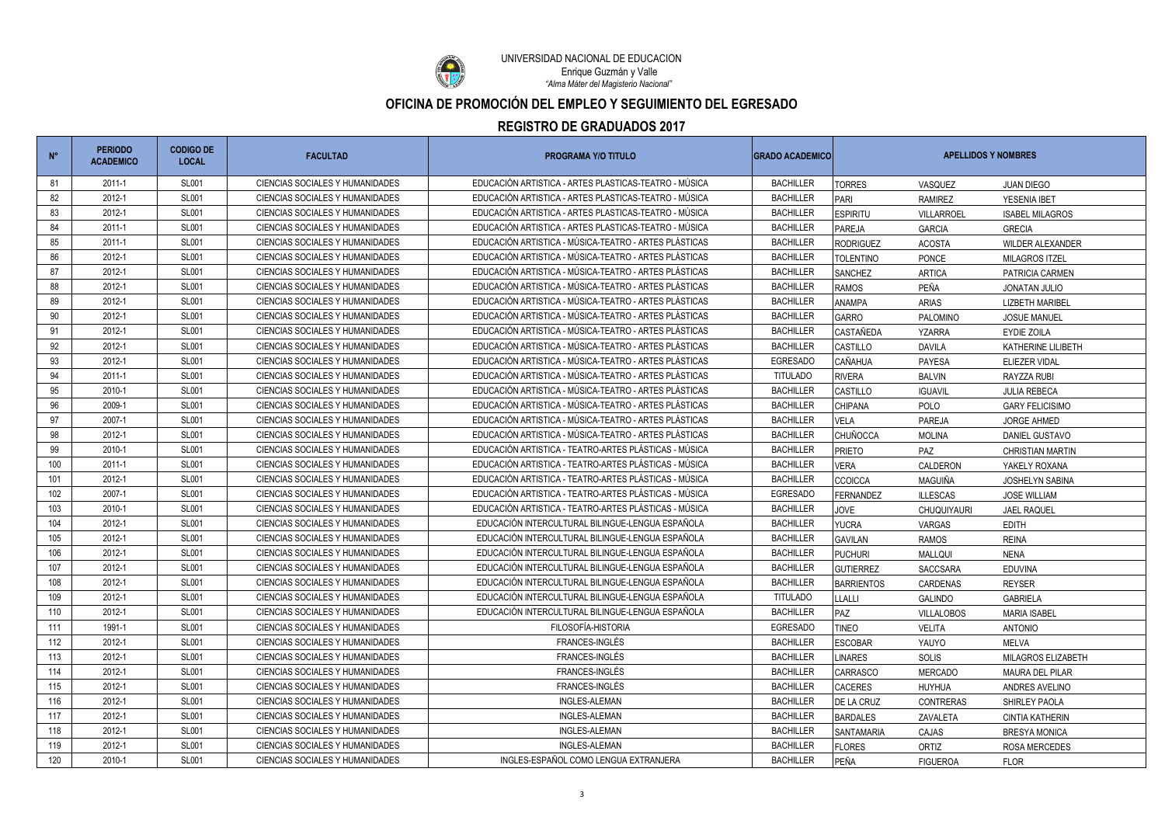

UNIVERSIDAD NACIONAL DE EDUCACIÓN *"Alma Máter del Magisterio Nacional"* Enrique Guzmán y Valle

| $N^{\circ}$ | <b>PERIODO</b><br><b>ACADEMICO</b> | <b>CODIGO DE</b><br><b>LOCAL</b> | <b>FACULTAD</b>                        | <b>PROGRAMA Y/O TITULO</b>                            | <b>GRADO ACADEMICO</b> |                   | <b>APELLIDOS Y NOMBRES</b> |                         |  |
|-------------|------------------------------------|----------------------------------|----------------------------------------|-------------------------------------------------------|------------------------|-------------------|----------------------------|-------------------------|--|
| 81          | 2011-1                             | <b>SL001</b>                     | CIENCIAS SOCIALES Y HUMANIDADES        | EDUCACIÓN ARTISTICA - ARTES PLASTICAS-TEATRO - MÚSICA | <b>BACHILLER</b>       | <b>TORRES</b>     | VASQUEZ                    | <b>JUAN DIEGO</b>       |  |
| 82          | 2012-1                             | <b>SL001</b>                     | <b>CIENCIAS SOCIALES Y HUMANIDADES</b> | EDUCACIÓN ARTISTICA - ARTES PLASTICAS-TEATRO - MÚSICA | <b>BACHILLER</b>       | PARI              | <b>RAMIREZ</b>             | YESENIA IBET            |  |
| 83          | 2012-1                             | <b>SL001</b>                     | CIENCIAS SOCIALES Y HUMANIDADES        | EDUCACIÓN ARTISTICA - ARTES PLASTICAS-TEATRO - MÚSICA | <b>BACHILLER</b>       | <b>ESPIRITU</b>   | VILLARROEL                 | <b>ISABEL MILAGROS</b>  |  |
| 84          | $2011 - 1$                         | <b>SL001</b>                     | CIENCIAS SOCIALES Y HUMANIDADES        | EDUCACIÓN ARTISTICA - ARTES PLASTICAS-TEATRO - MÚSICA | <b>BACHILLER</b>       | PAREJA            | <b>GARCIA</b>              | <b>GRECIA</b>           |  |
| 85          | 2011-1                             | <b>SL001</b>                     | CIENCIAS SOCIALES Y HUMANIDADES        | EDUCACIÓN ARTISTICA - MÚSICA-TEATRO - ARTES PLÁSTICAS | <b>BACHILLER</b>       | <b>RODRIGUEZ</b>  | ACOSTA                     | <b>WILDER ALEXANDER</b> |  |
| 86          | 2012-1                             | <b>SL001</b>                     | CIENCIAS SOCIALES Y HUMANIDADES        | EDUCACIÓN ARTISTICA - MÚSICA-TEATRO - ARTES PLÁSTICAS | <b>BACHILLER</b>       | <b>TOLENTINO</b>  | <b>PONCE</b>               | MILAGROS ITZEL          |  |
| 87          | 2012-1                             | <b>SL001</b>                     | CIENCIAS SOCIALES Y HUMANIDADES        | EDUCACIÓN ARTISTICA - MÚSICA-TEATRO - ARTES PLÁSTICAS | <b>BACHILLER</b>       | <b>SANCHEZ</b>    | <b>ARTICA</b>              | PATRICIA CARMEN         |  |
| 88          | 2012-1                             | <b>SL001</b>                     | CIENCIAS SOCIALES Y HUMANIDADES        | EDUCACIÓN ARTISTICA - MÚSICA-TEATRO - ARTES PLÁSTICAS | <b>BACHILLER</b>       | <b>RAMOS</b>      | PEÑA                       | <b>JONATAN JULIO</b>    |  |
| 89          | 2012-1                             | <b>SL001</b>                     | CIENCIAS SOCIALES Y HUMANIDADES        | EDUCACIÓN ARTISTICA - MÚSICA-TEATRO - ARTES PLÁSTICAS | <b>BACHILLER</b>       | <b>ANAMPA</b>     | <b>ARIAS</b>               | <b>LIZBETH MARIBEL</b>  |  |
| 90          | 2012-1                             | <b>SL001</b>                     | CIENCIAS SOCIALES Y HUMANIDADES        | EDUCACIÓN ARTISTICA - MÚSICA-TEATRO - ARTES PLÁSTICAS | <b>BACHILLER</b>       | <b>GARRO</b>      | PALOMINO                   | <b>JOSUE MANUEL</b>     |  |
| 91          | 2012-1                             | <b>SL001</b>                     | CIENCIAS SOCIALES Y HUMANIDADES        | EDUCACIÓN ARTISTICA - MÚSICA-TEATRO - ARTES PLÁSTICAS | <b>BACHILLER</b>       | <b>CASTAÑEDA</b>  | <b>YZARRA</b>              | <b>EYDIE ZOILA</b>      |  |
| 92          | 2012-1                             | <b>SL001</b>                     | CIENCIAS SOCIALES Y HUMANIDADES        | EDUCACIÓN ARTISTICA - MÚSICA-TEATRO - ARTES PLÁSTICAS | <b>BACHILLER</b>       | CASTILLO          | DAVILA                     | KATHERINE LILIBETH      |  |
| 93          | 2012-1                             | <b>SL001</b>                     | CIENCIAS SOCIALES Y HUMANIDADES        | EDUCACIÓN ARTISTICA - MÚSICA-TEATRO - ARTES PLÁSTICAS | <b>EGRESADO</b>        | CAÑAHUA           | <b>PAYESA</b>              | <b>ELIEZER VIDAL</b>    |  |
| 94          | 2011-1                             | <b>SL001</b>                     | CIENCIAS SOCIALES Y HUMANIDADES        | EDUCACIÓN ARTISTICA - MÚSICA-TEATRO - ARTES PLÁSTICAS | <b>TITULADO</b>        | <b>RIVERA</b>     | <b>BALVIN</b>              | RAYZZA RUBI             |  |
| 95          | 2010-1                             | <b>SL001</b>                     | CIENCIAS SOCIALES Y HUMANIDADES        | EDUCACIÓN ARTISTICA - MÚSICA-TEATRO - ARTES PLÁSTICAS | <b>BACHILLER</b>       | CASTILLO          | <b>IGUAVIL</b>             | <b>JULIA REBECA</b>     |  |
| 96          | 2009-1                             | <b>SL001</b>                     | CIENCIAS SOCIALES Y HUMANIDADES        | EDUCACIÓN ARTISTICA - MÚSICA-TEATRO - ARTES PLÁSTICAS | <b>BACHILLER</b>       | <b>CHIPANA</b>    | POLO                       | <b>GARY FELICISIMO</b>  |  |
| 97          | 2007-1                             | <b>SL001</b>                     | CIENCIAS SOCIALES Y HUMANIDADES        | EDUCACIÓN ARTISTICA - MÚSICA-TEATRO - ARTES PLÁSTICAS | <b>BACHILLER</b>       | <b>VELA</b>       | <b>PAREJA</b>              | <b>JORGE AHMED</b>      |  |
| 98          | 2012-1                             | <b>SL001</b>                     | CIENCIAS SOCIALES Y HUMANIDADES        | EDUCACIÓN ARTISTICA - MÚSICA-TEATRO - ARTES PLÁSTICAS | <b>BACHILLER</b>       | <b>CHUÑOCCA</b>   | <b>MOLINA</b>              | DANIEL GUSTAVO          |  |
| 99          | 2010-1                             | <b>SL001</b>                     | CIENCIAS SOCIALES Y HUMANIDADES        | EDUCACIÓN ARTISTICA - TEATRO-ARTES PLÁSTICAS - MÚSICA | <b>BACHILLER</b>       | <b>PRIETO</b>     | PAZ                        | <b>CHRISTIAN MARTIN</b> |  |
| 100         | 2011-1                             | <b>SL001</b>                     | CIENCIAS SOCIALES Y HUMANIDADES        | EDUCACIÓN ARTISTICA - TEATRO-ARTES PLÁSTICAS - MÚSICA | <b>BACHILLER</b>       | <b>VERA</b>       | CALDERON                   | YAKELY ROXANA           |  |
| 101         | 2012-1                             | <b>SL001</b>                     | CIENCIAS SOCIALES Y HUMANIDADES        | EDUCACIÓN ARTISTICA - TEATRO-ARTES PLÁSTICAS - MÚSICA | <b>BACHILLER</b>       | <b>CCOICCA</b>    | <b>MAGUIÑA</b>             | <b>JOSHELYN SABINA</b>  |  |
| 102         | 2007-1                             | <b>SL001</b>                     | CIENCIAS SOCIALES Y HUMANIDADES        | EDUCACIÓN ARTISTICA - TEATRO-ARTES PLÁSTICAS - MÚSICA | <b>EGRESADO</b>        | FERNANDEZ         | <b>ILLESCAS</b>            | <b>JOSE WILLIAM</b>     |  |
| 103         | 2010-1                             | <b>SL001</b>                     | CIENCIAS SOCIALES Y HUMANIDADES        | EDUCACIÓN ARTISTICA - TEATRO-ARTES PLÁSTICAS - MÚSICA | <b>BACHILLER</b>       | JOVE              | CHUQUIYAURI                | <b>JAEL RAQUEL</b>      |  |
| 104         | 2012-1                             | <b>SL001</b>                     | CIENCIAS SOCIALES Y HUMANIDADES        | EDUCACIÓN INTERCULTURAL BILINGUE-LENGUA ESPAÑOLA      | <b>BACHILLER</b>       | <b>YUCRA</b>      | VARGAS                     | <b>EDITH</b>            |  |
| 105         | 2012-1                             | <b>SL001</b>                     | CIENCIAS SOCIALES Y HUMANIDADES        | EDUCACIÓN INTERCULTURAL BILINGUE-LENGUA ESPAÑOLA      | <b>BACHILLER</b>       | <b>GAVILAN</b>    | RAMOS                      | <b>REINA</b>            |  |
| 106         | 2012-1                             | <b>SL001</b>                     | CIENCIAS SOCIALES Y HUMANIDADES        | EDUCACIÓN INTERCULTURAL BILINGUE-LENGUA ESPAÑOLA      | <b>BACHILLER</b>       | <b>PUCHURI</b>    | <b>MALLQUI</b>             | <b>NENA</b>             |  |
| 107         | 2012-1                             | <b>SL001</b>                     | CIENCIAS SOCIALES Y HUMANIDADES        | EDUCACIÓN INTERCULTURAL BILINGUE-LENGUA ESPAÑOLA      | <b>BACHILLER</b>       | <b>GUTIERREZ</b>  | SACCSARA                   | <b>EDUVINA</b>          |  |
| 108         | 2012-1                             | <b>SL001</b>                     | CIENCIAS SOCIALES Y HUMANIDADES        | EDUCACIÓN INTERCULTURAL BILINGUE-LENGUA ESPAÑOLA      | <b>BACHILLER</b>       | <b>BARRIENTOS</b> | CARDENAS                   | <b>REYSER</b>           |  |
| 109         | 2012-1                             | <b>SL001</b>                     | CIENCIAS SOCIALES Y HUMANIDADES        | EDUCACIÓN INTERCULTURAL BILINGUE-LENGUA ESPAÑOLA      | <b>TITULADO</b>        | <b>LLALLI</b>     | <b>GALINDO</b>             | <b>GABRIELA</b>         |  |
| 110         | 2012-1                             | <b>SL001</b>                     | CIENCIAS SOCIALES Y HUMANIDADES        | EDUCACIÓN INTERCULTURAL BILINGUE-LENGUA ESPAÑOLA      | <b>BACHILLER</b>       | PAZ               | VILLALOBOS                 | <b>MARIA ISABEL</b>     |  |
| 111         | 1991-1                             | <b>SL001</b>                     | CIENCIAS SOCIALES Y HUMANIDADES        | FILOSOFÍA-HISTORIA                                    | EGRESADO               | <b>TINEO</b>      | <b>VELITA</b>              | <b>ANTONIO</b>          |  |
| 112         | 2012-1                             | <b>SL001</b>                     | CIENCIAS SOCIALES Y HUMANIDADES        | FRANCES-INGLÉS                                        | <b>BACHILLER</b>       | <b>ESCOBAR</b>    | YAUYO                      | MELVA                   |  |
| 113         | 2012-1                             | <b>SL001</b>                     | CIENCIAS SOCIALES Y HUMANIDADES        | FRANCES-INGLÉS                                        | <b>BACHILLER</b>       | <b>LINARES</b>    | SOLIS                      | MILAGROS ELIZABETH      |  |
| 114         | 2012-1                             | <b>SL001</b>                     | CIENCIAS SOCIALES Y HUMANIDADES        | FRANCES-INGLÉS                                        | <b>BACHILLER</b>       | <b>CARRASCO</b>   | <b>MERCADO</b>             | <b>MAURA DEL PILAR</b>  |  |
| 115         | 2012-1                             | <b>SL001</b>                     | CIENCIAS SOCIALES Y HUMANIDADES        | FRANCES-INGLÉS                                        | <b>BACHILLER</b>       | <b>CACERES</b>    | HUYHUA                     | ANDRES AVELINO          |  |
| 116         | 2012-1                             | <b>SL001</b>                     | CIENCIAS SOCIALES Y HUMANIDADES        | INGLES-ALEMAN                                         | <b>BACHILLER</b>       | DE LA CRUZ        | <b>CONTRERAS</b>           | SHIRLEY PAOLA           |  |
| 117         | 2012-1                             | <b>SL001</b>                     | CIENCIAS SOCIALES Y HUMANIDADES        | INGLES-ALEMAN                                         | <b>BACHILLER</b>       | <b>BARDALES</b>   | ZAVALETA                   | <b>CINTIA KATHERIN</b>  |  |
| 118         | 2012-1                             | <b>SL001</b>                     | CIENCIAS SOCIALES Y HUMANIDADES        | INGLES-ALEMAN                                         | <b>BACHILLER</b>       | <b>SANTAMARIA</b> | CAJAS                      | <b>BRESYA MONICA</b>    |  |
| 119         | 2012-1                             | <b>SL001</b>                     | CIENCIAS SOCIALES Y HUMANIDADES        | INGLES-ALEMAN                                         | <b>BACHILLER</b>       | <b>FLORES</b>     | ORTIZ                      | ROSA MERCEDES           |  |
| 120         | 2010-1                             | <b>SL001</b>                     | CIENCIAS SOCIALES Y HUMANIDADES        | INGLES-ESPAÑOL COMO LENGUA EXTRANJERA                 | <b>BACHILLER</b>       | PEÑA              | <b>FIGUEROA</b>            | <b>FLOR</b>             |  |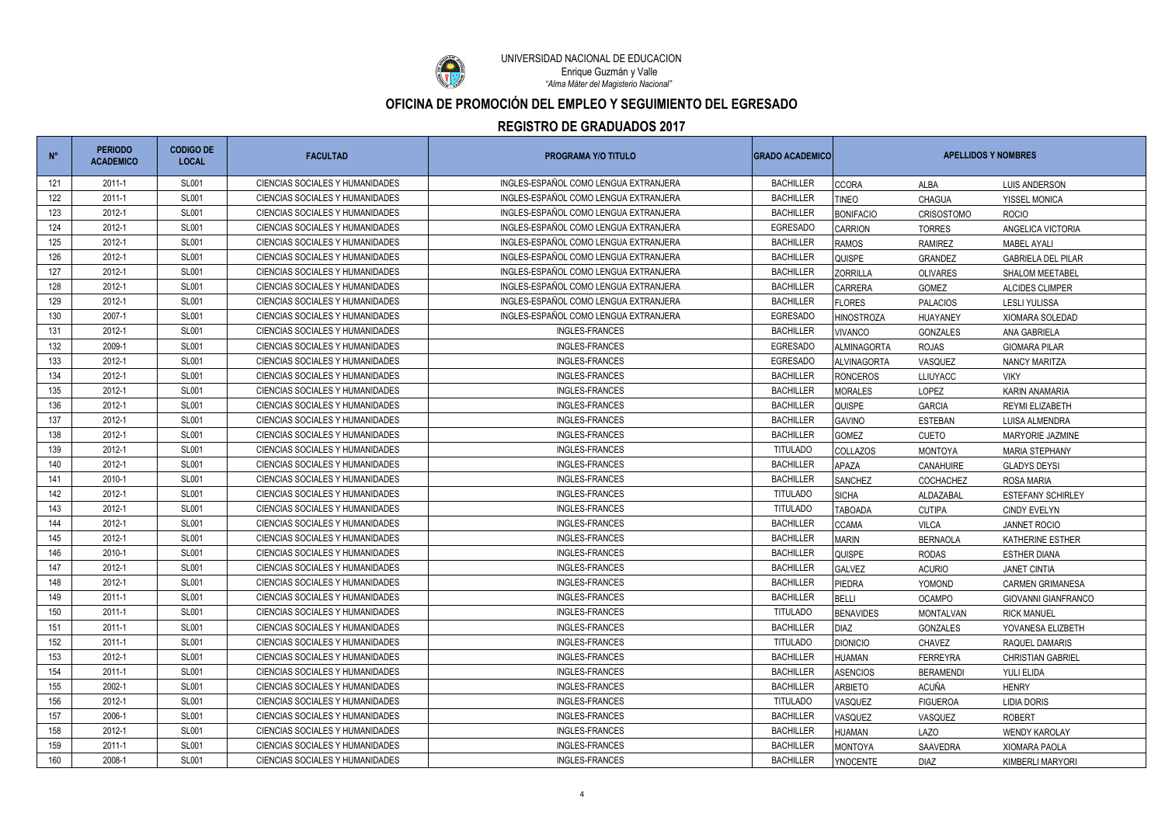

UNIVERSIDAD NACIONAL DE EDUCACIÓN *"Alma Máter del Magisterio Nacional"* Enrique Guzmán y Valle

| $N^{\circ}$ | <b>PERIODO</b><br><b>ACADEMICO</b> | <b>CODIGO DE</b><br><b>LOCAL</b> | <b>FACULTAD</b>                 | <b>PROGRAMA Y/O TITULO</b>            | <b>GRADO ACADEMICO</b> | <b>APELLIDOS Y NOMBRES</b> |                   |                            |
|-------------|------------------------------------|----------------------------------|---------------------------------|---------------------------------------|------------------------|----------------------------|-------------------|----------------------------|
| 121         | 2011-1                             | <b>SL001</b>                     | CIENCIAS SOCIALES Y HUMANIDADES | INGLES-ESPAÑOL COMO LENGUA EXTRANJERA | <b>BACHILLER</b>       | <b>CCORA</b>               | ALBA              | <b>LUIS ANDERSON</b>       |
| 122         | 2011-1                             | <b>SL001</b>                     | CIENCIAS SOCIALES Y HUMANIDADES | INGLES-ESPAÑOL COMO LENGUA EXTRANJERA | <b>BACHILLER</b>       | <b>TINEO</b>               | <b>CHAGUA</b>     | YISSEL MONICA              |
| 123         | 2012-1                             | <b>SL001</b>                     | CIENCIAS SOCIALES Y HUMANIDADES | INGLES-ESPAÑOL COMO LENGUA EXTRANJERA | <b>BACHILLER</b>       | <b>BONIFACIO</b>           | <b>CRISOSTOMO</b> | <b>ROCIO</b>               |
| 124         | 2012-1                             | <b>SL001</b>                     | CIENCIAS SOCIALES Y HUMANIDADES | INGLES-ESPAÑOL COMO LENGUA EXTRANJERA | <b>EGRESADO</b>        | <b>CARRION</b>             | <b>TORRES</b>     | ANGELICA VICTORIA          |
| 125         | 2012-1                             | <b>SL001</b>                     | CIENCIAS SOCIALES Y HUMANIDADES | INGLES-ESPAÑOL COMO LENGUA EXTRANJERA | <b>BACHILLER</b>       | <b>RAMOS</b>               | <b>RAMIREZ</b>    | <b>MABEL AYALI</b>         |
| 126         | 2012-1                             | <b>SL001</b>                     | CIENCIAS SOCIALES Y HUMANIDADES | INGLES-ESPAÑOL COMO LENGUA EXTRANJERA | <b>BACHILLER</b>       | <b>QUISPE</b>              | GRANDEZ           | <b>GABRIELA DEL PILAR</b>  |
| 127         | 2012-1                             | <b>SL001</b>                     | CIENCIAS SOCIALES Y HUMANIDADES | INGLES-ESPAÑOL COMO LENGUA EXTRANJERA | <b>BACHILLER</b>       | <b>ZORRILLA</b>            | <b>OLIVARES</b>   | <b>SHALOM MEETABEL</b>     |
| 128         | 2012-1                             | <b>SL001</b>                     | CIENCIAS SOCIALES Y HUMANIDADES | INGLES-ESPAÑOL COMO LENGUA EXTRANJERA | <b>BACHILLER</b>       | <b>CARRERA</b>             | GOMEZ             | ALCIDES CLIMPER            |
| 129         | 2012-1                             | <b>SL001</b>                     | CIENCIAS SOCIALES Y HUMANIDADES | INGLES-ESPAÑOL COMO LENGUA EXTRANJERA | <b>BACHILLER</b>       | <b>FLORES</b>              | <b>PALACIOS</b>   | <b>LESLI YULISSA</b>       |
| 130         | 2007-1                             | <b>SL001</b>                     | CIENCIAS SOCIALES Y HUMANIDADES | INGLES-ESPAÑOL COMO LENGUA EXTRANJERA | <b>EGRESADO</b>        | <b>HINOSTROZA</b>          | HUAYANEY          | XIOMARA SOLEDAD            |
| 131         | 2012-1                             | <b>SL001</b>                     | CIENCIAS SOCIALES Y HUMANIDADES | INGLES-FRANCES                        | <b>BACHILLER</b>       | <b>VIVANCO</b>             | GONZALES          | ANA GABRIELA               |
| 132         | 2009-1                             | <b>SL001</b>                     | CIENCIAS SOCIALES Y HUMANIDADES | <b>INGLES-FRANCES</b>                 | <b>EGRESADO</b>        | <b>ALMINAGORTA</b>         | <b>ROJAS</b>      | <b>GIOMARA PILAR</b>       |
| 133         | 2012-1                             | <b>SL001</b>                     | CIENCIAS SOCIALES Y HUMANIDADES | <b>INGLES-FRANCES</b>                 | <b>EGRESADO</b>        | ALVINAGORTA                | VASQUEZ           | NANCY MARITZA              |
| 134         | 2012-1                             | <b>SL001</b>                     | CIENCIAS SOCIALES Y HUMANIDADES | <b>INGLES-FRANCES</b>                 | <b>BACHILLER</b>       | <b>RONCEROS</b>            | <b>LLIUYACC</b>   | <b>VIKY</b>                |
| 135         | 2012-1                             | <b>SL001</b>                     | CIENCIAS SOCIALES Y HUMANIDADES | <b>INGLES-FRANCES</b>                 | <b>BACHILLER</b>       | <b>MORALES</b>             | LOPEZ             | KARIN ANAMARIA             |
| 136         | 2012-1                             | <b>SL001</b>                     | CIENCIAS SOCIALES Y HUMANIDADES | <b>INGLES-FRANCES</b>                 | <b>BACHILLER</b>       | <b>QUISPE</b>              | <b>GARCIA</b>     | <b>REYMI ELIZABETH</b>     |
| 137         | 2012-1                             | <b>SL001</b>                     | CIENCIAS SOCIALES Y HUMANIDADES | <b>INGLES-FRANCES</b>                 | <b>BACHILLER</b>       | <b>GAVINO</b>              | <b>ESTEBAN</b>    | LUISA ALMENDRA             |
| 138         | 2012-1                             | <b>SL001</b>                     | CIENCIAS SOCIALES Y HUMANIDADES | <b>INGLES-FRANCES</b>                 | <b>BACHILLER</b>       | <b>GOMEZ</b>               | <b>CUETO</b>      | MARYORIE JAZMINE           |
| 139         | 2012-1                             | <b>SL001</b>                     | CIENCIAS SOCIALES Y HUMANIDADES | <b>INGLES-FRANCES</b>                 | <b>TITULADO</b>        | <b>COLLAZOS</b>            | <b>MONTOYA</b>    | <b>MARIA STEPHANY</b>      |
| 140         | 2012-1                             | <b>SL001</b>                     | CIENCIAS SOCIALES Y HUMANIDADES | <b>INGLES-FRANCES</b>                 | <b>BACHILLER</b>       | <b>APAZA</b>               | CANAHUIRE         | <b>GLADYS DEYSI</b>        |
| 141         | 2010-1                             | <b>SL001</b>                     | CIENCIAS SOCIALES Y HUMANIDADES | <b>INGLES-FRANCES</b>                 | <b>BACHILLER</b>       | <b>SANCHEZ</b>             | <b>COCHACHEZ</b>  | <b>ROSA MARIA</b>          |
| 142         | 2012-1                             | <b>SL001</b>                     | CIENCIAS SOCIALES Y HUMANIDADES | <b>INGLES-FRANCES</b>                 | <b>TITULADO</b>        | <b>SICHA</b>               | ALDAZABAL         | <b>ESTEFANY SCHIRLEY</b>   |
| 143         | 2012-1                             | <b>SL001</b>                     | CIENCIAS SOCIALES Y HUMANIDADES | <b>INGLES-FRANCES</b>                 | <b>TITULADO</b>        | <b>TABOADA</b>             | <b>CUTIPA</b>     | <b>CINDY EVELYN</b>        |
| 144         | 2012-1                             | <b>SL001</b>                     | CIENCIAS SOCIALES Y HUMANIDADES | <b>INGLES-FRANCES</b>                 | <b>BACHILLER</b>       | <b>CCAMA</b>               | <b>VILCA</b>      | <b>JANNET ROCIO</b>        |
| 145         | 2012-1                             | <b>SL001</b>                     | CIENCIAS SOCIALES Y HUMANIDADES | <b>INGLES-FRANCES</b>                 | <b>BACHILLER</b>       | <b>MARIN</b>               | <b>BERNAOLA</b>   | <b>KATHERINE ESTHER</b>    |
| 146         | 2010-1                             | <b>SL001</b>                     | CIENCIAS SOCIALES Y HUMANIDADES | <b>INGLES-FRANCES</b>                 | <b>BACHILLER</b>       | <b>QUISPE</b>              | <b>RODAS</b>      | <b>ESTHER DIANA</b>        |
| 147         | 2012-1                             | <b>SL001</b>                     | CIENCIAS SOCIALES Y HUMANIDADES | <b>INGLES-FRANCES</b>                 | <b>BACHILLER</b>       | <b>GALVEZ</b>              | <b>ACURIO</b>     | <b>JANET CINTIA</b>        |
| 148         | 2012-1                             | <b>SL001</b>                     | CIENCIAS SOCIALES Y HUMANIDADES | <b>INGLES-FRANCES</b>                 | <b>BACHILLER</b>       | PIEDRA                     | YOMOND            | <b>CARMEN GRIMANESA</b>    |
| 149         | 2011-1                             | <b>SL001</b>                     | CIENCIAS SOCIALES Y HUMANIDADES | <b>INGLES-FRANCES</b>                 | <b>BACHILLER</b>       | <b>BELLI</b>               | <b>OCAMPO</b>     | <b>GIOVANNI GIANFRANCO</b> |
| 150         | 2011-1                             | <b>SL001</b>                     | CIENCIAS SOCIALES Y HUMANIDADES | <b>INGLES-FRANCES</b>                 | <b>TITULADO</b>        | <b>BENAVIDES</b>           | <b>MONTALVAN</b>  | <b>RICK MANUEL</b>         |
| 151         | 2011-1                             | <b>SL001</b>                     | CIENCIAS SOCIALES Y HUMANIDADES | INGLES-FRANCES                        | <b>BACHILLER</b>       | <b>DIAZ</b>                | <b>GONZALES</b>   | YOVANESA ELIZBETH          |
| 152         | 2011-1                             | <b>SL001</b>                     | CIENCIAS SOCIALES Y HUMANIDADES | INGLES-FRANCES                        | <b>TITULADO</b>        | <b>DIONICIO</b>            | <b>CHAVEZ</b>     | RAQUEL DAMARIS             |
| 153         | 2012-1                             | <b>SL001</b>                     | CIENCIAS SOCIALES Y HUMANIDADES | <b>INGLES-FRANCES</b>                 | <b>BACHILLER</b>       | <b>HUAMAN</b>              | <b>FERREYRA</b>   | <b>CHRISTIAN GABRIEL</b>   |
| 154         | 2011-1                             | <b>SL001</b>                     | CIENCIAS SOCIALES Y HUMANIDADES | INGLES-FRANCES                        | <b>BACHILLER</b>       | <b>ASENCIOS</b>            | <b>BERAMENDI</b>  | YULI ELIDA                 |
| 155         | 2002-1                             | <b>SL001</b>                     | CIENCIAS SOCIALES Y HUMANIDADES | INGLES-FRANCES                        | <b>BACHILLER</b>       | <b>ARBIETO</b>             | <b>ACUÑA</b>      | <b>HENRY</b>               |
| 156         | 2012-1                             | <b>SL001</b>                     | CIENCIAS SOCIALES Y HUMANIDADES | <b>INGLES-FRANCES</b>                 | <b>TITULADO</b>        | VASQUEZ                    | <b>FIGUEROA</b>   | <b>LIDIA DORIS</b>         |
| 157         | 2006-1                             | <b>SL001</b>                     | CIENCIAS SOCIALES Y HUMANIDADES | <b>INGLES-FRANCES</b>                 | <b>BACHILLER</b>       | VASQUEZ                    | VASQUEZ           | <b>ROBERT</b>              |
| 158         | 2012-1                             | <b>SL001</b>                     | CIENCIAS SOCIALES Y HUMANIDADES | <b>INGLES-FRANCES</b>                 | <b>BACHILLER</b>       | <b>HUAMAN</b>              | <b>LAZO</b>       | <b>WENDY KAROLAY</b>       |
| 159         | 2011-1                             | <b>SL001</b>                     | CIENCIAS SOCIALES Y HUMANIDADES | <b>INGLES-FRANCES</b>                 | <b>BACHILLER</b>       | <b>MONTOYA</b>             | SAAVEDRA          | <b>XIOMARA PAOLA</b>       |
| 160         | 2008-1                             | <b>SL001</b>                     | CIENCIAS SOCIALES Y HUMANIDADES | INGLES-FRANCES                        | <b>BACHILLER</b>       | <b>YNOCENTE</b>            | DIAZ              | KIMBERLI MARYORI           |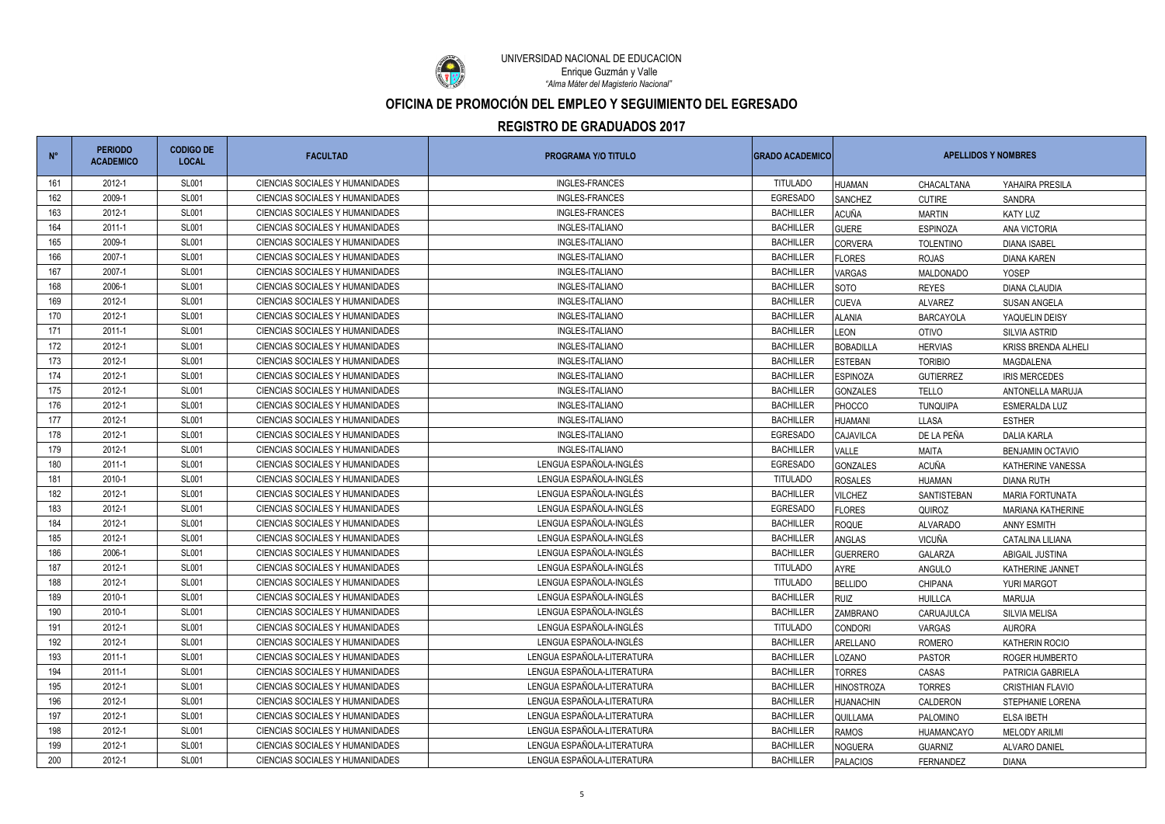

UNIVERSIDAD NACIONAL DE EDUCACIÓN *"Alma Máter del Magisterio Nacional"* Enrique Guzmán y Valle

| $N^{\circ}$ | <b>PERIODO</b><br><b>ACADEMICO</b> | <b>CODIGO DE</b><br><b>LOCAL</b> | <b>FACULTAD</b>                        | <b>PROGRAMA Y/O TITULO</b> | <b>GRADO ACADEMICO</b> | <b>APELLIDOS Y NOMBRES</b> |                  |                          |
|-------------|------------------------------------|----------------------------------|----------------------------------------|----------------------------|------------------------|----------------------------|------------------|--------------------------|
| 161         | 2012-1                             | <b>SL001</b>                     | CIENCIAS SOCIALES Y HUMANIDADES        | <b>INGLES-FRANCES</b>      | <b>TITULADO</b>        | <b>HUAMAN</b>              | CHACALTANA       | YAHAIRA PRESILA          |
| 162         | 2009-1                             | <b>SL001</b>                     | CIENCIAS SOCIALES Y HUMANIDADES        | <b>INGLES-FRANCES</b>      | <b>EGRESADO</b>        | <b>SANCHEZ</b>             | <b>CUTIRE</b>    | <b>SANDRA</b>            |
| 163         | 2012-1                             | <b>SL001</b>                     | CIENCIAS SOCIALES Y HUMANIDADES        | <b>INGLES-FRANCES</b>      | <b>BACHILLER</b>       | <b>ACUÑA</b>               | <b>MARTIN</b>    | <b>KATY LUZ</b>          |
| 164         | 2011-1                             | <b>SL001</b>                     | CIENCIAS SOCIALES Y HUMANIDADES        | INGLES-ITALIANO            | <b>BACHILLER</b>       | <b>GUERE</b>               | <b>ESPINOZA</b>  | <b>ANA VICTORIA</b>      |
| 165         | 2009-1                             | <b>SL001</b>                     | CIENCIAS SOCIALES Y HUMANIDADES        | INGLES-ITALIANO            | <b>BACHILLER</b>       | <b>CORVERA</b>             | <b>TOLENTINO</b> | <b>DIANA ISABEL</b>      |
| 166         | 2007-1                             | <b>SL001</b>                     | CIENCIAS SOCIALES Y HUMANIDADES        | INGLES-ITALIANO            | <b>BACHILLER</b>       | <b>FLORES</b>              | <b>ROJAS</b>     | <b>DIANA KAREN</b>       |
| 167         | 2007-1                             | <b>SL001</b>                     | <b>CIENCIAS SOCIALES Y HUMANIDADES</b> | INGLES-ITALIANO            | <b>BACHILLER</b>       | <b>VARGAS</b>              | MALDONADO        | <b>YOSEP</b>             |
| 168         | 2006-1                             | <b>SL001</b>                     | CIENCIAS SOCIALES Y HUMANIDADES        | INGLES-ITALIANO            | <b>BACHILLER</b>       | <b>SOTO</b>                | <b>REYES</b>     | <b>DIANA CLAUDIA</b>     |
| 169         | 2012-1                             | <b>SL001</b>                     | CIENCIAS SOCIALES Y HUMANIDADES        | INGLES-ITALIANO            | <b>BACHILLER</b>       | <b>CUEVA</b>               | <b>ALVAREZ</b>   | <b>SUSAN ANGELA</b>      |
| 170         | 2012-1                             | <b>SL001</b>                     | CIENCIAS SOCIALES Y HUMANIDADES        | INGLES-ITALIANO            | <b>BACHILLER</b>       | <b>ALANIA</b>              | <b>BARCAYOLA</b> | YAQUELIN DEISY           |
| 171         | $2011 - 1$                         | <b>SL001</b>                     | CIENCIAS SOCIALES Y HUMANIDADES        | INGLES-ITALIANO            | <b>BACHILLER</b>       | <b>LEON</b>                | <b>OTIVO</b>     | <b>SILVIA ASTRID</b>     |
| 172         | 2012-1                             | <b>SL001</b>                     | CIENCIAS SOCIALES Y HUMANIDADES        | INGLES-ITALIANO            | <b>BACHILLER</b>       | <b>BOBADILLA</b>           | <b>HERVIAS</b>   | KRISS BRENDA ALHELI      |
| 173         | 2012-1                             | <b>SL001</b>                     | CIENCIAS SOCIALES Y HUMANIDADES        | INGLES-ITALIANO            | <b>BACHILLER</b>       | <b>ESTEBAN</b>             | <b>TORIBIO</b>   | MAGDALENA                |
| 174         | 2012-1                             | <b>SL001</b>                     | CIENCIAS SOCIALES Y HUMANIDADES        | INGLES-ITALIANO            | <b>BACHILLER</b>       | <b>ESPINOZA</b>            | <b>GUTIERREZ</b> | <b>IRIS MERCEDES</b>     |
| 175         | 2012-1                             | <b>SL001</b>                     | CIENCIAS SOCIALES Y HUMANIDADES        | INGLES-ITALIANO            | <b>BACHILLER</b>       | <b>GONZALES</b>            | TELLO            | ANTONELLA MARUJA         |
| 176         | 2012-1                             | <b>SL001</b>                     | CIENCIAS SOCIALES Y HUMANIDADES        | INGLES-ITALIANO            | <b>BACHILLER</b>       | PHOCCO                     | <b>TUNQUIPA</b>  | <b>ESMERALDA LUZ</b>     |
| 177         | 2012-1                             | <b>SL001</b>                     | CIENCIAS SOCIALES Y HUMANIDADES        | INGLES-ITALIANO            | <b>BACHILLER</b>       | <b>HUAMANI</b>             | <b>LLASA</b>     | <b>ESTHER</b>            |
| 178         | 2012-1                             | <b>SL001</b>                     | CIENCIAS SOCIALES Y HUMANIDADES        | INGLES-ITALIANO            | <b>EGRESADO</b>        | CAJAVILCA                  | DE LA PEÑA       | <b>DALIA KARLA</b>       |
| 179         | 2012-1                             | <b>SL001</b>                     | CIENCIAS SOCIALES Y HUMANIDADES        | INGLES-ITALIANO            | <b>BACHILLER</b>       | <b>VALLE</b>               | <b>MAITA</b>     | <b>BENJAMIN OCTAVIO</b>  |
| 180         | 2011-1                             | <b>SL001</b>                     | CIENCIAS SOCIALES Y HUMANIDADES        | LENGUA ESPAÑOLA-INGLÉS     | <b>EGRESADO</b>        | <b>GONZALES</b>            | <b>ACUÑA</b>     | KATHERINE VANESSA        |
| 181         | 2010-1                             | <b>SL001</b>                     | CIENCIAS SOCIALES Y HUMANIDADES        | LENGUA ESPAÑOLA-INGLÉS     | <b>TITULADO</b>        | <b>ROSALES</b>             | <b>HUAMAN</b>    | <b>DIANA RUTH</b>        |
| 182         | 2012-1                             | <b>SL001</b>                     | CIENCIAS SOCIALES Y HUMANIDADES        | LENGUA ESPAÑOLA-INGLÉS     | <b>BACHILLER</b>       | <b>VILCHEZ</b>             | SANTISTEBAN      | <b>MARIA FORTUNATA</b>   |
| 183         | 2012-1                             | <b>SL001</b>                     | CIENCIAS SOCIALES Y HUMANIDADES        | LENGUA ESPAÑOLA-INGLÉS     | <b>EGRESADO</b>        | <b>FLORES</b>              | QUIROZ           | <b>MARIANA KATHERINE</b> |
| 184         | 2012-1                             | <b>SL001</b>                     | CIENCIAS SOCIALES Y HUMANIDADES        | LENGUA ESPAÑOLA-INGLÉS     | <b>BACHILLER</b>       | <b>ROQUE</b>               | <b>ALVARADO</b>  | <b>ANNY ESMITH</b>       |
| 185         | 2012-1                             | <b>SL001</b>                     | CIENCIAS SOCIALES Y HUMANIDADES        | LENGUA ESPAÑOLA-INGLÉS     | <b>BACHILLER</b>       | ANGLAS                     | <b>VICUÑA</b>    | <b>CATALINA LILIANA</b>  |
| 186         | 2006-1                             | <b>SL001</b>                     | CIENCIAS SOCIALES Y HUMANIDADES        | LENGUA ESPAÑOLA-INGLÉS     | <b>BACHILLER</b>       | <b>GUERRERO</b>            | <b>GALARZA</b>   | ABIGAIL JUSTINA          |
| 187         | 2012-1                             | <b>SL001</b>                     | CIENCIAS SOCIALES Y HUMANIDADES        | LENGUA ESPAÑOLA-INGLÉS     | <b>TITULADO</b>        | <b>AYRE</b>                | ANGULO           | KATHERINE JANNET         |
| 188         | 2012-1                             | <b>SL001</b>                     | CIENCIAS SOCIALES Y HUMANIDADES        | LENGUA ESPAÑOLA-INGLÉS     | <b>TITULADO</b>        | <b>BELLIDO</b>             | <b>CHIPANA</b>   | YURI MARGOT              |
| 189         | 2010-1                             | <b>SL001</b>                     | CIENCIAS SOCIALES Y HUMANIDADES        | LENGUA ESPAÑOLA-INGLÉS     | <b>BACHILLER</b>       | <b>RUIZ</b>                | <b>HUILLCA</b>   | <b>MARUJA</b>            |
| 190         | 2010-1                             | <b>SL001</b>                     | CIENCIAS SOCIALES Y HUMANIDADES        | LENGUA ESPAÑOLA-INGLÉS     | <b>BACHILLER</b>       | <b>ZAMBRANO</b>            | CARUAJULCA       | SILVIA MELISA            |
| 191         | 2012-1                             | <b>SL001</b>                     | CIENCIAS SOCIALES Y HUMANIDADES        | LENGUA ESPAÑOLA-INGLÉS     | <b>TITULADO</b>        | <b>CONDORI</b>             | VARGAS           | AURORA                   |
| 192         | 2012-1                             | <b>SL001</b>                     | CIENCIAS SOCIALES Y HUMANIDADES        | LENGUA ESPAÑOLA-INGLÉS     | <b>BACHILLER</b>       | ARELLANO                   | <b>ROMERO</b>    | <b>KATHERIN ROCIO</b>    |
| 193         | $2011 - 1$                         | <b>SL001</b>                     | CIENCIAS SOCIALES Y HUMANIDADES        | LENGUA ESPAÑOLA-LITERATURA | <b>BACHILLER</b>       | LOZANO                     | <b>PASTOR</b>    | ROGER HUMBERTO           |
| 194         | $2011 - 1$                         | <b>SL001</b>                     | CIENCIAS SOCIALES Y HUMANIDADES        | LENGUA ESPAÑOLA-LITERATURA | <b>BACHILLER</b>       | <b>TORRES</b>              | CASAS            | PATRICIA GABRIELA        |
| 195         | 2012-1                             | <b>SL001</b>                     | CIENCIAS SOCIALES Y HUMANIDADES        | LENGUA ESPAÑOLA-LITERATURA | <b>BACHILLER</b>       | <b>HINOSTROZA</b>          | <b>TORRES</b>    | <b>CRISTHIAN FLAVIO</b>  |
| 196         | 2012-1                             | <b>SL001</b>                     | CIENCIAS SOCIALES Y HUMANIDADES        | LENGUA ESPAÑOLA-LITERATURA | <b>BACHILLER</b>       | <b>HUANACHIN</b>           | CALDERON         | STEPHANIE LORENA         |
| 197         | 2012-1                             | <b>SL001</b>                     | CIENCIAS SOCIALES Y HUMANIDADES        | LENGUA ESPAÑOLA-LITERATURA | <b>BACHILLER</b>       | <b>QUILLAMA</b>            | PALOMINO         | <b>ELSA IBETH</b>        |
| 198         | 2012-1                             | <b>SL001</b>                     | CIENCIAS SOCIALES Y HUMANIDADES        | LENGUA ESPAÑOLA-LITERATURA | <b>BACHILLER</b>       | <b>RAMOS</b>               | HUAMANCAYO       | <b>MELODY ARILMI</b>     |
| 199         | 2012-1                             | <b>SL001</b>                     | CIENCIAS SOCIALES Y HUMANIDADES        | LENGUA ESPAÑOLA-LITERATURA | <b>BACHILLER</b>       | <b>NOGUERA</b>             | <b>GUARNIZ</b>   | ALVARO DANIEL            |
| 200         | 2012-1                             | <b>SL001</b>                     | CIENCIAS SOCIALES Y HUMANIDADES        | LENGUA ESPAÑOLA-LITERATURA | <b>BACHILLER</b>       | <b>PALACIOS</b>            | FERNANDEZ        | DIANA                    |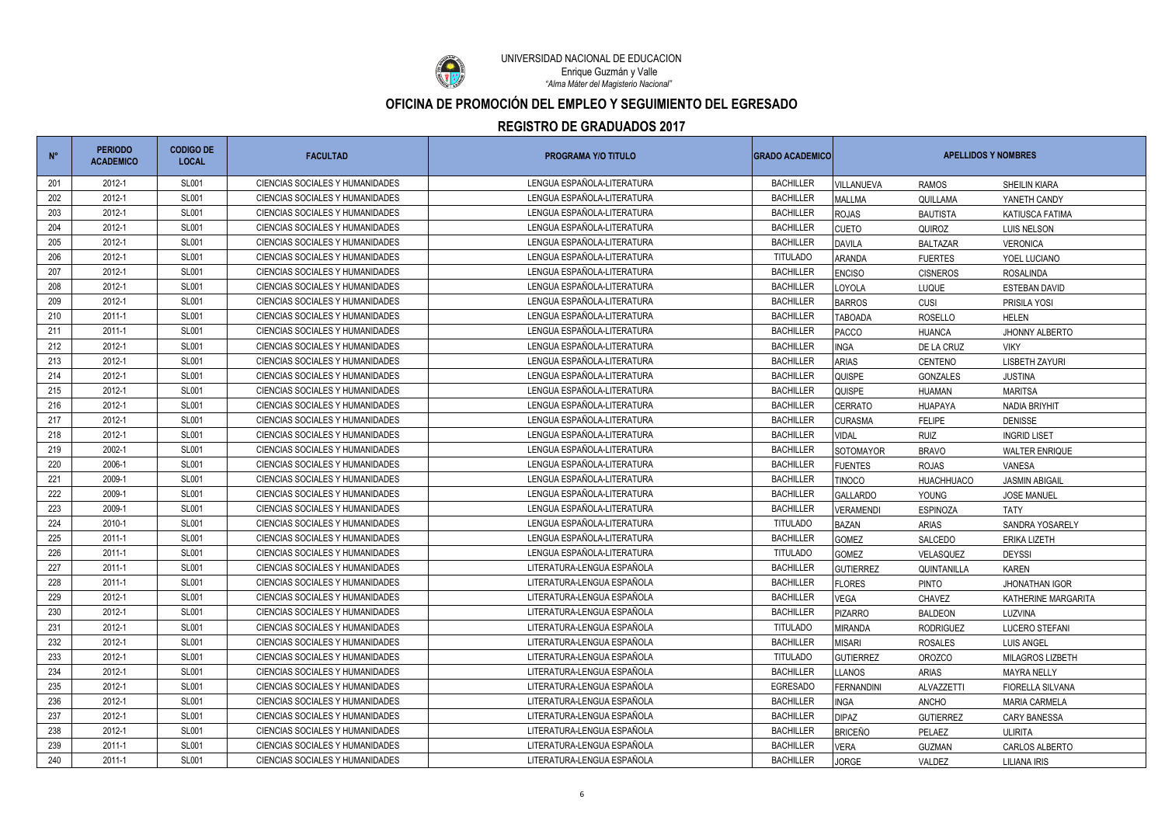

UNIVERSIDAD NACIONAL DE EDUCACIÓN *"Alma Máter del Magisterio Nacional"* Enrique Guzmán y Valle

| $N^{\circ}$ | <b>PERIODO</b><br><b>ACADEMICO</b> | <b>CODIGO DE</b><br><b>LOCAL</b> | <b>FACULTAD</b>                 | <b>PROGRAMA Y/O TITULO</b> | <b>GRADO ACADEMICO</b> | <b>APELLIDOS Y NOMBRES</b> |                   |                       |
|-------------|------------------------------------|----------------------------------|---------------------------------|----------------------------|------------------------|----------------------------|-------------------|-----------------------|
| 201         | 2012-1                             | <b>SL001</b>                     | CIENCIAS SOCIALES Y HUMANIDADES | LENGUA ESPAÑOLA-LITERATURA | <b>BACHILLER</b>       | <b>VILLANUEVA</b>          | <b>RAMOS</b>      | <b>SHEILIN KIARA</b>  |
| 202         | 2012-1                             | <b>SL001</b>                     | CIENCIAS SOCIALES Y HUMANIDADES | LENGUA ESPAÑOLA-LITERATURA | <b>BACHILLER</b>       | <b>MALLMA</b>              | QUILLAMA          | YANETH CANDY          |
| 203         | 2012-1                             | <b>SL001</b>                     | CIENCIAS SOCIALES Y HUMANIDADES | LENGUA ESPAÑOLA-LITERATURA | <b>BACHILLER</b>       | <b>ROJAS</b>               | <b>BAUTISTA</b>   | KATIUSCA FATIMA       |
| 204         | 2012-1                             | <b>SL001</b>                     | CIENCIAS SOCIALES Y HUMANIDADES | LENGUA ESPAÑOLA-LITERATURA | <b>BACHILLER</b>       | <b>CUETO</b>               | QUIROZ            | LUIS NELSON           |
| 205         | 2012-1                             | <b>SL001</b>                     | CIENCIAS SOCIALES Y HUMANIDADES | LENGUA ESPAÑOLA-LITERATURA | <b>BACHILLER</b>       | <b>DAVILA</b>              | <b>BALTAZAR</b>   | <b>VERONICA</b>       |
| 206         | 2012-1                             | <b>SL001</b>                     | CIENCIAS SOCIALES Y HUMANIDADES | LENGUA ESPAÑOLA-LITERATURA | <b>TITULADO</b>        | <b>ARANDA</b>              | <b>FUERTES</b>    | YOEL LUCIANO          |
| 207         | 2012-1                             | <b>SL001</b>                     | CIENCIAS SOCIALES Y HUMANIDADES | LENGUA ESPAÑOLA-LITERATURA | <b>BACHILLER</b>       | <b>ENCISO</b>              | <b>CISNEROS</b>   | <b>ROSALINDA</b>      |
| 208         | 2012-1                             | <b>SL001</b>                     | CIENCIAS SOCIALES Y HUMANIDADES | LENGUA ESPAÑOLA-LITERATURA | <b>BACHILLER</b>       | LOYOLA                     | LUQUE             | <b>ESTEBAN DAVID</b>  |
| 209         | 2012-1                             | <b>SL001</b>                     | CIENCIAS SOCIALES Y HUMANIDADES | LENGUA ESPAÑOLA-LITERATURA | <b>BACHILLER</b>       | <b>BARROS</b>              | CUSI              | PRISILA YOSI          |
| 210         | 2011-1                             | <b>SL001</b>                     | CIENCIAS SOCIALES Y HUMANIDADES | LENGUA ESPAÑOLA-LITERATURA | <b>BACHILLER</b>       | <b>TABOADA</b>             | <b>ROSELLO</b>    | <b>HELEN</b>          |
| 211         | 2011-1                             | <b>SL001</b>                     | CIENCIAS SOCIALES Y HUMANIDADES | LENGUA ESPAÑOLA-LITERATURA | <b>BACHILLER</b>       | PACCO                      | <b>HUANCA</b>     | JHONNY ALBERTO        |
| 212         | 2012-1                             | <b>SL001</b>                     | CIENCIAS SOCIALES Y HUMANIDADES | LENGUA ESPAÑOLA-LITERATURA | <b>BACHILLER</b>       | <b>INGA</b>                | DE LA CRUZ        | <b>VIKY</b>           |
| 213         | 2012-1                             | <b>SL001</b>                     | CIENCIAS SOCIALES Y HUMANIDADES | LENGUA ESPAÑOLA-LITERATURA | <b>BACHILLER</b>       | <b>ARIAS</b>               | CENTENO           | <b>LISBETH ZAYURI</b> |
| 214         | 2012-1                             | <b>SL001</b>                     | CIENCIAS SOCIALES Y HUMANIDADES | LENGUA ESPAÑOLA-LITERATURA | <b>BACHILLER</b>       | <b>QUISPE</b>              | GONZALES          | <b>JUSTINA</b>        |
| 215         | 2012-1                             | <b>SL001</b>                     | CIENCIAS SOCIALES Y HUMANIDADES | LENGUA ESPAÑOLA-LITERATURA | <b>BACHILLER</b>       | <b>QUISPE</b>              | <b>HUAMAN</b>     | <b>MARITSA</b>        |
| 216         | 2012-1                             | <b>SL001</b>                     | CIENCIAS SOCIALES Y HUMANIDADES | LENGUA ESPAÑOLA-LITERATURA | <b>BACHILLER</b>       | <b>CERRATO</b>             | <b>HUAPAYA</b>    | <b>NADIA BRIYHIT</b>  |
| 217         | 2012-1                             | <b>SL001</b>                     | CIENCIAS SOCIALES Y HUMANIDADES | LENGUA ESPAÑOLA-LITERATURA | <b>BACHILLER</b>       | <b>CURASMA</b>             | <b>FELIPE</b>     | <b>DENISSE</b>        |
| 218         | 2012-1                             | <b>SL001</b>                     | CIENCIAS SOCIALES Y HUMANIDADES | LENGUA ESPAÑOLA-LITERATURA | <b>BACHILLER</b>       | <b>VIDAL</b>               | <b>RUIZ</b>       | <b>INGRID LISET</b>   |
| 219         | 2002-1                             | <b>SL001</b>                     | CIENCIAS SOCIALES Y HUMANIDADES | LENGUA ESPAÑOLA-LITERATURA | <b>BACHILLER</b>       | SOTOMAYOR                  | <b>BRAVO</b>      | <b>WALTER ENRIQUE</b> |
| 220         | 2006-1                             | <b>SL001</b>                     | CIENCIAS SOCIALES Y HUMANIDADES | LENGUA ESPAÑOLA-LITERATURA | <b>BACHILLER</b>       | <b>FUENTES</b>             | <b>ROJAS</b>      | VANESA                |
| 221         | 2009-1                             | <b>SL001</b>                     | CIENCIAS SOCIALES Y HUMANIDADES | LENGUA ESPAÑOLA-LITERATURA | <b>BACHILLER</b>       | <b>TINOCO</b>              | <b>HUACHHUACO</b> | <b>JASMIN ABIGAIL</b> |
| 222         | 2009-1                             | <b>SL001</b>                     | CIENCIAS SOCIALES Y HUMANIDADES | LENGUA ESPAÑOLA-LITERATURA | <b>BACHILLER</b>       | <b>GALLARDO</b>            | YOUNG             | <b>JOSE MANUEL</b>    |
| 223         | 2009-1                             | <b>SL001</b>                     | CIENCIAS SOCIALES Y HUMANIDADES | LENGUA ESPAÑOLA-LITERATURA | <b>BACHILLER</b>       | <b>VERAMENDI</b>           | <b>ESPINOZA</b>   | TATY                  |
| 224         | 2010-1                             | <b>SL001</b>                     | CIENCIAS SOCIALES Y HUMANIDADES | LENGUA ESPAÑOLA-LITERATURA | <b>TITULADO</b>        | <b>BAZAN</b>               | <b>ARIAS</b>      | SANDRA YOSARELY       |
| 225         | 2011-1                             | <b>SL001</b>                     | CIENCIAS SOCIALES Y HUMANIDADES | LENGUA ESPAÑOLA-LITERATURA | <b>BACHILLER</b>       | <b>GOMEZ</b>               | SALCEDO           | <b>ERIKA LIZETH</b>   |
| 226         | 2011-1                             | <b>SL001</b>                     | CIENCIAS SOCIALES Y HUMANIDADES | LENGUA ESPAÑOLA-LITERATURA | <b>TITULADO</b>        | <b>GOMEZ</b>               | VELASQUEZ         | <b>DEYSSI</b>         |
| 227         | 2011-1                             | <b>SL001</b>                     | CIENCIAS SOCIALES Y HUMANIDADES | LITERATURA-LENGUA ESPAÑOLA | <b>BACHILLER</b>       | <b>GUTIERREZ</b>           | QUINTANILLA       | <b>KAREN</b>          |
| 228         | $2011 - 1$                         | <b>SL001</b>                     | CIENCIAS SOCIALES Y HUMANIDADES | LITERATURA-LENGUA ESPAÑOLA | <b>BACHILLER</b>       | <b>FLORES</b>              | <b>PINTO</b>      | <b>JHONATHAN IGOR</b> |
| 229         | 2012-1                             | <b>SL001</b>                     | CIENCIAS SOCIALES Y HUMANIDADES | LITERATURA-LENGUA ESPAÑOLA | <b>BACHILLER</b>       | <b>VEGA</b>                | CHAVEZ            | KATHERINE MARGARITA   |
| 230         | 2012-1                             | <b>SL001</b>                     | CIENCIAS SOCIALES Y HUMANIDADES | LITERATURA-LENGUA ESPAÑOLA | <b>BACHILLER</b>       | <b>PIZARRO</b>             | <b>BALDEON</b>    | LUZVINA               |
| 231         | 2012-1                             | <b>SL001</b>                     | CIENCIAS SOCIALES Y HUMANIDADES | LITERATURA-LENGUA ESPAÑOLA | <b>TITULADO</b>        | <b>MIRANDA</b>             | <b>RODRIGUEZ</b>  | <b>LUCERO STEFANI</b> |
| 232         | 2012-1                             | <b>SL001</b>                     | CIENCIAS SOCIALES Y HUMANIDADES | LITERATURA-LENGUA ESPAÑOLA | <b>BACHILLER</b>       | <b>MISARI</b>              | <b>ROSALES</b>    | <b>LUIS ANGEL</b>     |
| 233         | 2012-1                             | <b>SL001</b>                     | CIENCIAS SOCIALES Y HUMANIDADES | LITERATURA-LENGUA ESPAÑOLA | <b>TITULADO</b>        | <b>GUTIERREZ</b>           | <b>OROZCO</b>     | MILAGROS LIZBETH      |
| 234         | 2012-1                             | <b>SL001</b>                     | CIENCIAS SOCIALES Y HUMANIDADES | LITERATURA-LENGUA ESPAÑOLA | <b>BACHILLER</b>       | <b>LLANOS</b>              | <b>ARIAS</b>      | <b>MAYRA NELLY</b>    |
| 235         | 2012-1                             | <b>SL001</b>                     | CIENCIAS SOCIALES Y HUMANIDADES | LITERATURA-LENGUA ESPAÑOLA | <b>EGRESADO</b>        | <b>FERNANDINI</b>          | ALVAZZETTI        | FIORELLA SILVANA      |
| 236         | 2012-1                             | <b>SL001</b>                     | CIENCIAS SOCIALES Y HUMANIDADES | LITERATURA-LENGUA ESPAÑOLA | <b>BACHILLER</b>       | <b>INGA</b>                | <b>ANCHO</b>      | <b>MARIA CARMELA</b>  |
| 237         | 2012-1                             | <b>SL001</b>                     | CIENCIAS SOCIALES Y HUMANIDADES | LITERATURA-LENGUA ESPAÑOLA | <b>BACHILLER</b>       | <b>DIPAZ</b>               | <b>GUTIERREZ</b>  | <b>CARY BANESSA</b>   |
| 238         | 2012-1                             | <b>SL001</b>                     | CIENCIAS SOCIALES Y HUMANIDADES | LITERATURA-LENGUA ESPAÑOLA | <b>BACHILLER</b>       | <b>BRICEÑO</b>             | PELAEZ            | <b>ULIRITA</b>        |
| 239         | 2011-1                             | <b>SL001</b>                     | CIENCIAS SOCIALES Y HUMANIDADES | LITERATURA-LENGUA ESPAÑOLA | <b>BACHILLER</b>       | <b>VERA</b>                | <b>GUZMAN</b>     | CARLOS ALBERTO        |
| 240         | 2011-1                             | <b>SL001</b>                     | CIENCIAS SOCIALES Y HUMANIDADES | LITERATURA-LENGUA ESPAÑOLA | <b>BACHILLER</b>       | <b>JORGE</b>               | VALDEZ            | LILIANA IRIS          |